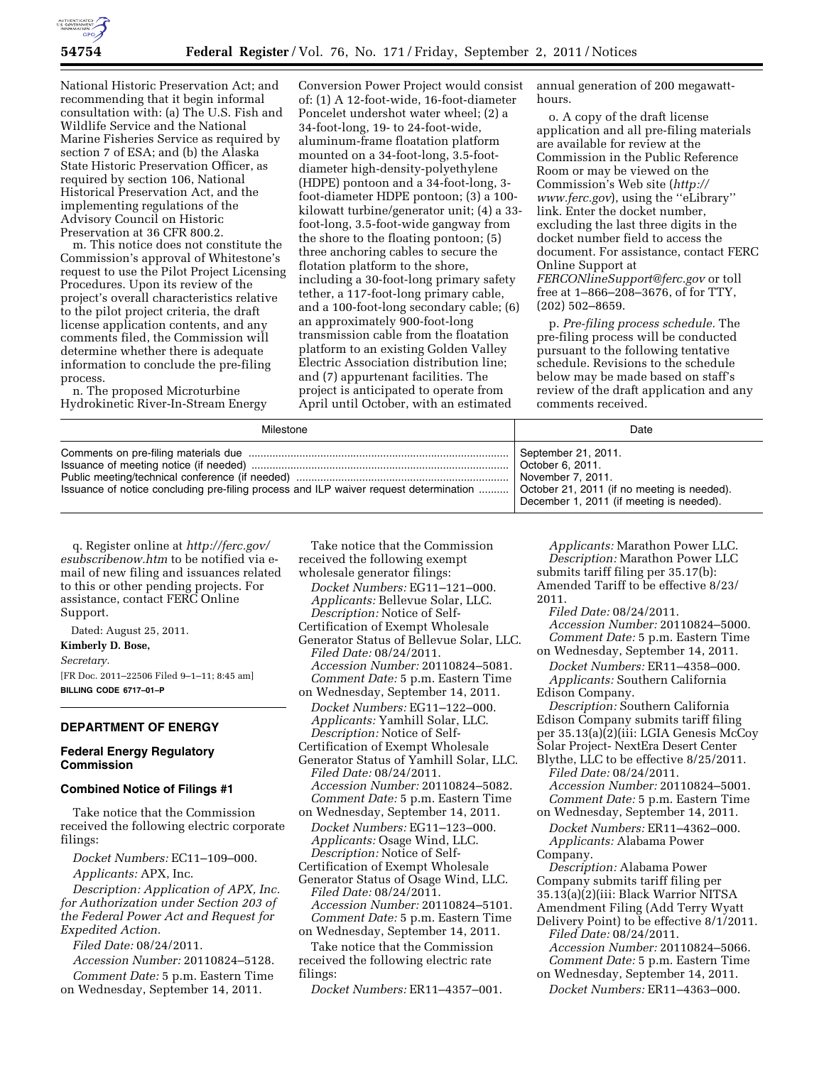

National Historic Preservation Act; and recommending that it begin informal consultation with: (a) The U.S. Fish and Wildlife Service and the National Marine Fisheries Service as required by section 7 of ESA; and (b) the Alaska State Historic Preservation Officer, as required by section 106, National Historical Preservation Act, and the implementing regulations of the Advisory Council on Historic Preservation at 36 CFR 800.2.

m. This notice does not constitute the Commission's approval of Whitestone's request to use the Pilot Project Licensing Procedures. Upon its review of the project's overall characteristics relative to the pilot project criteria, the draft license application contents, and any comments filed, the Commission will determine whether there is adequate information to conclude the pre-filing process.

n. The proposed Microturbine Hydrokinetic River-In-Stream Energy

Conversion Power Project would consist of: (1) A 12-foot-wide, 16-foot-diameter Poncelet undershot water wheel; (2) a 34-foot-long, 19- to 24-foot-wide, aluminum-frame floatation platform mounted on a 34-foot-long, 3.5-footdiameter high-density-polyethylene (HDPE) pontoon and a 34-foot-long, 3 foot-diameter HDPE pontoon; (3) a 100 kilowatt turbine/generator unit; (4) a 33 foot-long, 3.5-foot-wide gangway from the shore to the floating pontoon; (5) three anchoring cables to secure the flotation platform to the shore, including a 30-foot-long primary safety tether, a 117-foot-long primary cable, and a 100-foot-long secondary cable; (6) an approximately 900-foot-long transmission cable from the floatation platform to an existing Golden Valley Electric Association distribution line; and (7) appurtenant facilities. The project is anticipated to operate from April until October, with an estimated

annual generation of 200 megawatthours.

o. A copy of the draft license application and all pre-filing materials are available for review at the Commission in the Public Reference Room or may be viewed on the Commission's Web site (*[http://](http://www.ferc.gov)  [www.ferc.gov](http://www.ferc.gov)*), using the ''eLibrary'' link. Enter the docket number, excluding the last three digits in the docket number field to access the document. For assistance, contact FERC Online Support at *[FERCONlineSupport@ferc.gov](mailto:FERCONlineSupport@ferc.gov)* or toll

free at 1–866–208–3676, of for TTY, (202) 502–8659.

p. *Pre-filing process schedule.* The pre-filing process will be conducted pursuant to the following tentative schedule. Revisions to the schedule below may be made based on staff's review of the draft application and any comments received.

| Milestone                                                                                                                            | Date                                                                                 |
|--------------------------------------------------------------------------------------------------------------------------------------|--------------------------------------------------------------------------------------|
| Issuance of notice concluding pre-filing process and ILP waiver request determination    October 21, 2011 (if no meeting is needed). | September 21, 2011.<br>November 7, 2011.<br>December 1, 2011 (if meeting is needed). |

q. Register online at *[http://ferc.gov/](http://ferc.gov/esubscribenow.htm)  [esubscribenow.htm](http://ferc.gov/esubscribenow.htm)* to be notified via email of new filing and issuances related to this or other pending projects. For assistance, contact FERC Online Support.

Dated: August 25, 2011.

# **Kimberly D. Bose,**

*Secretary.* 

[FR Doc. 2011–22506 Filed 9–1–11; 8:45 am] **BILLING CODE 6717–01–P** 

# **DEPARTMENT OF ENERGY**

# **Federal Energy Regulatory Commission**

## **Combined Notice of Filings #1**

Take notice that the Commission received the following electric corporate filings:

*Docket Numbers:* EC11–109–000.

*Applicants:* APX, Inc.

*Description: Application of APX, Inc. for Authorization under Section 203 of the Federal Power Act and Request for Expedited Action.* 

*Filed Date:* 08/24/2011.

*Accession Number:* 20110824–5128.

*Comment Date:* 5 p.m. Eastern Time on Wednesday, September 14, 2011.

Take notice that the Commission received the following exempt wholesale generator filings:

*Docket Numbers:* EG11–121–000. *Applicants:* Bellevue Solar, LLC. *Description:* Notice of Self-

Certification of Exempt Wholesale Generator Status of Bellevue Solar, LLC. *Filed Date:* 08/24/2011. *Accession Number:* 20110824–5081. *Comment Date:* 5 p.m. Eastern Time on Wednesday, September 14, 2011.

*Docket Numbers:* EG11–122–000. *Applicants:* Yamhill Solar, LLC. *Description:* Notice of Self-

Certification of Exempt Wholesale Generator Status of Yamhill Solar, LLC. *Filed Date:* 08/24/2011. *Accession Number:* 20110824–5082. *Comment Date:* 5 p.m. Eastern Time

on Wednesday, September 14, 2011. *Docket Numbers:* EG11–123–000. *Applicants:* Osage Wind, LLC. *Description:* Notice of Self-

Certification of Exempt Wholesale Generator Status of Osage Wind, LLC. *Filed Date:* 08/24/2011. *Accession Number:* 20110824–5101. *Comment Date:* 5 p.m. Eastern Time

on Wednesday, September 14, 2011. Take notice that the Commission

received the following electric rate filings:

*Docket Numbers:* ER11–4357–001.

*Applicants:* Marathon Power LLC. *Description:* Marathon Power LLC submits tariff filing per 35.17(b): Amended Tariff to be effective 8/23/ 2011.

*Filed Date:* 08/24/2011. *Accession Number:* 20110824–5000. *Comment Date:* 5 p.m. Eastern Time

on Wednesday, September 14, 2011. *Docket Numbers:* ER11–4358–000. *Applicants:* Southern California Edison Company.

*Description:* Southern California Edison Company submits tariff filing per 35.13(a)(2)(iii: LGIA Genesis McCoy Solar Project- NextEra Desert Center

Blythe, LLC to be effective 8/25/2011. *Filed Date:* 08/24/2011. *Accession Number:* 20110824–5001.

*Comment Date:* 5 p.m. Eastern Time on Wednesday, September 14, 2011.

*Docket Numbers:* ER11–4362–000. *Applicants:* Alabama Power Company.

*Description:* Alabama Power Company submits tariff filing per 35.13(a)(2)(iii: Black Warrior NITSA Amendment Filing (Add Terry Wyatt

Delivery Point) to be effective 8/1/2011. *Filed Date:* 08/24/2011. *Accession Number:* 20110824–5066.

*Comment Date:* 5 p.m. Eastern Time on Wednesday, September 14, 2011.

*Docket Numbers:* ER11–4363–000.